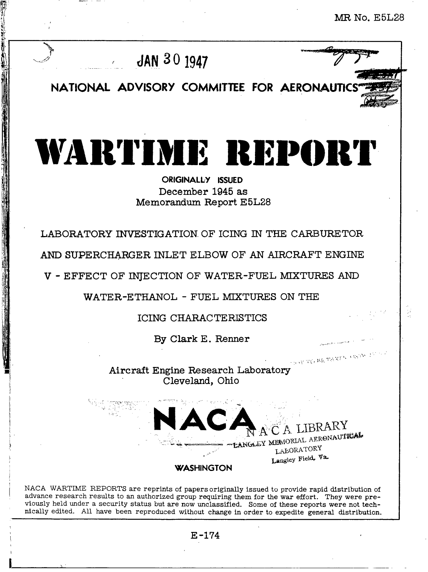**MR No. E5L28**

v

,,

. .

..... . .'



<sup>r</sup> **JAY.~01947**

.

**....**

**11** & .<., **-,<>'/**

NATIONAL ADVISORY COMMITTEE FOR AERONAUTICS

WARTIME REPORT

## **OtUGINALIJY ISSUED December 1945 as Memorandum Report E5L28**

**LABORATORY INVESTIGATION OF ICING IN THE CARBURETOR**

**AND SUPERCHARGER INLET ELBOW OF AN AIRCRAFT ENGINE**

**V - EFFECT OF INJECTION OF WATER-FUEL MIXTURES**

**WATER-ETHANOL - FUEL MIXTURES ON THE**

 $\blacksquare$ **ICING** CHARACTERISTIC

**By Clark E. Renner**

 $\sim_{\mathbb{N}}\exp\left[\mathrm{Tr}\xi\right]\left\langle\mathrm{K} \mathbf{E}_{\mathrm{c}}\left|\mathrm{Tr}\mathbf{A}\right.\mathrm{K} \mathbf{E}^{\mathrm{c}}\mathbf{v}_{\mathrm{c}}\right\rangle\left\langle\mathrm{K} \mathbf{E}^{\mathrm{c}}\mathrm{K}^{\mathrm{c}}\right\rangle\mathrm{N}^{\mathrm{c}}\right]\left\langle\mathbf{E}^{\mathrm{c}}\right\rangle$ **Aircraft Engine Research Laboratory Cleveland, Ohio**

EANGLEY MEMORIAL AERONAUTICAL LABORATORY Langley Field, Va. **WASHINGTON** 

NACA WARTIME REPORTS are reprints of papers originally issued to provide rapid distribution of advance research results to an authorized group requiring them for the war effort. They were previously held under a security status but are now unclassified. Some of these reports were not technically edited. All have been reproduced without change in order to expedite general distribution,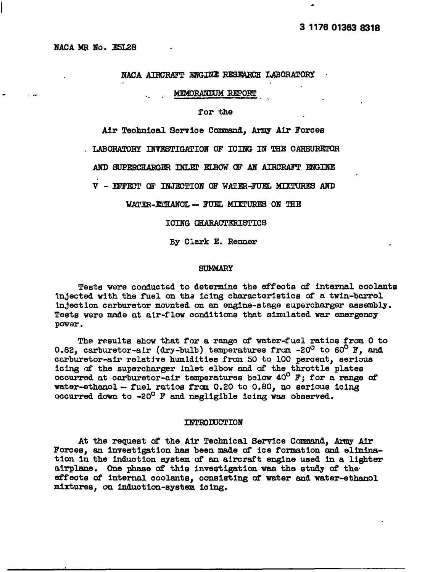#### NACA ATRORAFT ENGINE RESEARCH LABORATORY

MEMORANIUM REPORT

for the

Air Technical Service Command, Army Air Forces

. LABORATORY INVESTIGATION OF ICING IN THE CARBURETOR

AND SUPERCHARGER INLET ELBOW OF AN AIRCRAFT ENGINE

V - EFFECT OF INJECTION OF WATER-FUEL MIXTURES AND

WATER-EMHANOL - FUEL MIXTURES ON THE

ICING CHARACTERISTICS

By Clark E. Renner

#### **SUMMARY**

Tests were conducted to determine the effects of internal coolants injected with the fuel on the icing charactoristics of a twin-barrel injection carburetor mounted on an engine-stage supercharger assembly. Tests were made at air-flow conditions that simulated war emergency power.

The results show that for a range of water-fuel ratios from 0 to 0.82, carburetor-alr (dry-bulb) temperatures from -20<sup>0</sup> to 60<sup>0</sup> F, and carburetor-air relative humidities from 50 to 100 percent, serious icing of the supercharger inlet elbow and of the throttle plates occurred at carburetor-air temperatures below 40° F; for a range of water-ethanol - fuel ratios from 0.20 to 0.80, no serious icing occurred down to -20<sup>0</sup> F and negligible icing was observed.

#### **INTRODUCTION**

At the request of the Air Technical Service Command, Army Air Forces, an investigation has been made of ice formation and elimination in the induction system of an aircraft engine used in a lighter airplane. One phase of this investigation was the study of the effects of internal coolants, consisting of water and water-ethanol mixtures, on induction-system icing.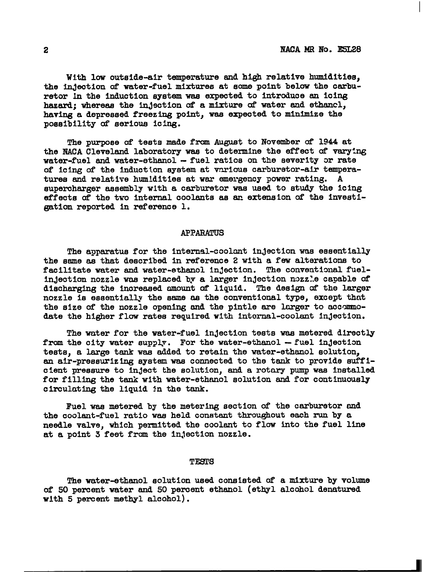With low outside-air temperature and high relative humidities. the injection of water-fuel mixtures at some point below the carburetor in the induction system was expected to introduce an icing hazard; whereas the injection of a mixture of water and ethancl, having a depressed freezing point, was expected to minimize the possibility of serious icing.

*The* purpose of tests made from August to Noveniberof 1944 at the NACA Cleveland laboratory was to determine the effect of vary:ng water-fuel and water-ethanol - fuel ratios on the severity or rate of icing of the induction system at various carburetor-air temperatures and relatIve humldittea at war emergency power ratIng. A supercharger assembly with a carburetor was used to study the icing **effects** of the two internal coolants as an extension of the investigatlon reported In reference 1.

#### **APPARATUS**

The apparatus for the internal-coolant injection was essentially the same as that described in reference 2 with a few alterations to facilitate water and water-ethanol injection. The conventional fuellnJectIon nozzle wus replaced by a larger lnJection nczzle capable of discharging the increased amount of liquid. The design of the larger nozzle is essentially the same as the conventional type, except that the size of the nozzle opening and the pintle are larger to accommodate the higher flow rates required with Internal-coolant injection.

The water for the water-fuel inJectlon tests was metered directly from the city water supply. For the water-ethanol  $-$  fuel injection tests, a large tank was added to retain the water-ethanol solution, an air-pressurizing system was connected to the tank to provide sufficient pressure to inject the solution, and a rotary pump was installed for filling the tank with water-ethanol solution and for continuously circulating the liquid In the tank.

Fuel was metered by the metering section of the carburetor and the coolant-fuel ratio was held constant throughout each run by a needle valve, which permitted the coolant to flow into the fuel line at a point 3 feet from the lnJectlon nozzle.

#### TESTS

The water-ethanol solution used consisted of a mixture by volume of 50 percent water and 50 percent ethanol (ethyl alcohol denatured with 5 percent methyl alcohol).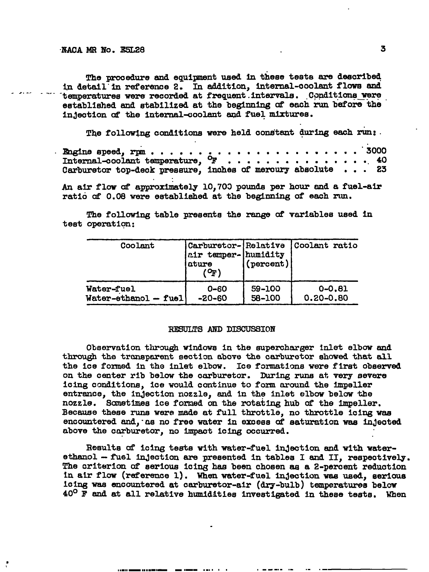The procedure and equipment used in these tests are described in detail in reference 2. In addition, internal-coolant flows and temperatures were recorded at frequent intervals. Conditions were established and stabilized at the beginning of each run before the injection of the internal-coolant and fuel mixtures.

The following conditions were held constant during each run:

| Internal-coolant temperature, $\mathbb{P}$ 40               |  |  |  |  |  |  |  |  |
|-------------------------------------------------------------|--|--|--|--|--|--|--|--|
| Carburetor top-deck pressure, inches of mercury absolute 23 |  |  |  |  |  |  |  |  |

An air flow of approximately 10,700 pounds per hour and a fuel-air ratio of 0.08 were established at the beginning of each run.

The following table presents the range of variables used in test operation:

| Coolant                | Carburetor- Relative<br>air temper- humidity<br>ature | (percent) | Coolant ratio |
|------------------------|-------------------------------------------------------|-----------|---------------|
| Water-fuel             | $0 - 60$                                              | 59-100    | $0 - 0.81$    |
| $Water-ethanol - fuel$ | -20-60                                                | 58-100    | $0.20 - 0.80$ |

#### RESULTS AND DISCUSSION

Observation through windows in the supercharger inlet elbow and through the transparent section above the carburetor showed that all the ice formed in the inlet elbow. Ice formations were first observed on the center rib below the carburetor. During runs at very severe icing conditions, ice would continue to form around the impeller entrance, the injection nozzle, and in the inlet elbow below the nozzle. Sometimes ice formed on the rotating hub of the impeller. Because these runs were made at full throttle, no throttle icing was encountered and, as no free water in excess of saturation was injected above the carburetor, no impact icing occurred.

Results of icing tests with water-fuel injection and with waterethanol - fuel injection are presented in tables I and II, respectively. The criterion of serious icing has been chosen as a 2-percent reduction in air flow (reference 1). When water-fuel injection was used, serious icing was encountered at carburetor-air (dry-bulb) temperatures below  $40^{\circ}$  F and at all relative humidities investigated in these tests. When

3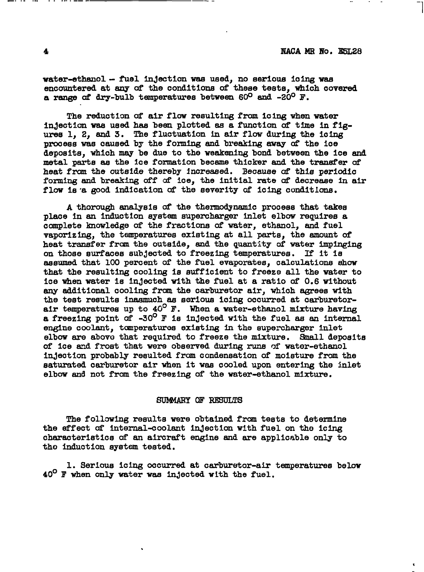water-ethanol - fuel injection was used, no serious icing was encountered at any of the conditions of these tests, which covered a range of dry-bulb temperatures between 60<sup>0</sup> and -20<sup>0</sup> F.

The reduction of air flow resulting from icing when water injection was used has been plotted as a function of time in figures 1, 2, and 3. The fluctuation in air flow during the icing process was caused by the forming and breaking away of the ice deposits, which may be due to the weakening bond between the ice and metal parts as the ice formation became thicker and the transfer of heat from the outside thereby increased. Because of this periodic forming and breaking off of ice, the initial rate of decrease in air flow is a good indication of the severity of icing conditions.

A thorough analysis of the thermodynamic process that takes place in an induction system supercharger inlet elbow requires a complete knowledge of the fractions of water, ethanol, and fuel vaporizing, the temperatures existing at all parts, the amount of heat transfer from the outside, and the quantity of water impinging on those surfaces subjected to freezing temperatures. If it is assumed that 100 percent of the fuel evaporates. calculations show that the resulting cooling is sufficient to freeze all the water to ice when water is injected with the fuel at a ratio of 0.6 without any additional cooling from the carburetor air, which agrees with the test results inasmuch as serious icing occurred at carburetorair temperatures up to 40° F. When a water-ethanol mixture having a freezing point of -30° F is injected with the fuel as an internal engine coolant, tomperatures existing in the supercharger inlet elbow are above that required to freeze the mixture. Small deposits of ice and frost that were observed during runs of water-ethanol injection probably resulted from condensation of moisture from the saturated carburetor air when it was cooled upon entering the inlet elbow and not from the freezing of the water-ethanol mixture.

#### SUMMARY OF RESULTS

The following results were obtained from tests to determine the effect of internal-coolant injection with fuel on the icing characteristics of an aircraft engine and are applicable only to the induction system tested.

1. Serious icing occurred at carburetor-air temperatures below  $40^{\circ}$  F when only water was injected with the fuel.

 $\overline{\mathbf{4}}$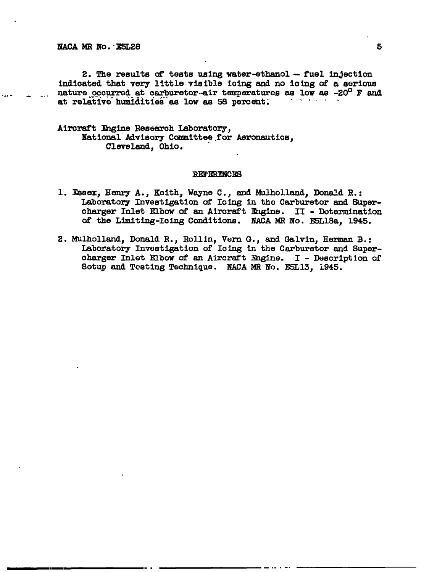2. The results of tests using water-ethanol -- fuel injection indicated that very little visible icing and no icing of a serious nature occurred at carburetor-air temperatures as low as -20<sup>0</sup> F and at relative humidities as low as 58 percent.

### Aircraft Engine Research Laboratory, National Advisory Committee for Aeronautics, Cleveland, Ohio.

#### **REFERENCES**

- 1. Essex, Henry A., Keith, Wayne C., and Mulholland, Donald R.: Laboratory Investigation of Icing in the Carburetor and Supercharger Inlet Elbow of an Aircraft Engine. II - Dotermination of the Limiting-Icing Conditions. NACA MR No. E5L18a, 1945.
- 2. Mulholland, Donald R., Rollin, Vern G., and Galvin, Herman B.: Laboratory Investigation of Icing in the Carburetor and Supercharger Inlet Elbow of an Aircraft Engine. I - Description of Sotup and Testing Technique. NACA MR No. E5L13, 1945.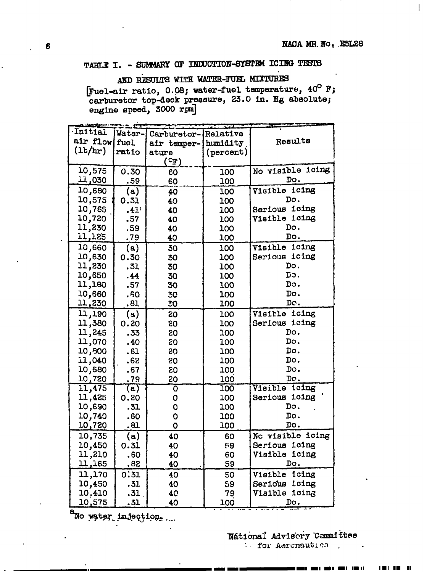Ţ

# TABLE I. - SUMMARY OF INDUCTION-SYSTEM ICING TESTS

# AND RESULTS WITH WATER-FUEL MIXTURES

[Fuel-air ratio, 0.08; water-fuel temperature,  $40^{\circ}$  F; carburetor top-deck pressure, 23.0 in. Hg absolute; engine speed, 3000 rpm]

| <b>Initial</b>  | Water-           | Carburetor-          | Relative  |                  |  |  |  |  |
|-----------------|------------------|----------------------|-----------|------------------|--|--|--|--|
| air flow        | fuel             | air temper- humidity |           | Results          |  |  |  |  |
| (1b/hr)         | ratio            | ature                | (percent) |                  |  |  |  |  |
|                 |                  | ( ଫ <sup>)</sup>     |           |                  |  |  |  |  |
| 10,575          | 0.30             | 60                   | 100       | No visible icing |  |  |  |  |
| <u>030, تىة</u> | .59              | 60                   | 100       | Do.              |  |  |  |  |
| 10,680          | (a)              | 40                   | 100       | icing<br>Visible |  |  |  |  |
| 10,575          | 0.31             | 40                   | 100       | Do.              |  |  |  |  |
| 10,765          | .41              | 40                   | 100       | Serious icing    |  |  |  |  |
| 10,720          | .57              | 40                   | 100       | Visible icing    |  |  |  |  |
| 11,230          | .59              | 40                   | 100       | Do.              |  |  |  |  |
| 11,125          | .79              | 40                   | 100       | Do.              |  |  |  |  |
| 10,660          | (a)              | 30                   | 100       | Visible icing    |  |  |  |  |
| 10,630          | 0.30             | 30                   | 100       | Serious icing    |  |  |  |  |
| 11,230          | .31              | 30                   | 100       | Do.              |  |  |  |  |
| 10,650          | .44              | 30                   | 100       | Do.              |  |  |  |  |
| 11,180          | .57              | 30                   | 100       | Do.              |  |  |  |  |
| 10,660          | .60              | 30                   | 100       | Do.              |  |  |  |  |
| 11,230          | .81              | 30                   | 100       | Do.              |  |  |  |  |
| 11,190          | (a)              | 20                   | 100       | Visible icing    |  |  |  |  |
| 11,380          | 0.20             | 20                   | 100       | Sericus icing    |  |  |  |  |
| 11,245          | .33              | 20                   | 100       | Do.              |  |  |  |  |
| 11,070          | .40              | 20                   | 100       | Do.              |  |  |  |  |
| 10,800          | .61              | 20                   | 100       | Do.              |  |  |  |  |
| 11,040          | .62              | 20                   | 100       | Do.              |  |  |  |  |
| 10,680          | .67              | 20                   | 100       | Do.              |  |  |  |  |
| 10,720          | .79              | 20                   | 100       | Do.              |  |  |  |  |
| 11,475          | (a)              | Ō                    | 100       | Visible icing    |  |  |  |  |
| 11,425          | 0.20             | O                    | 100       | Serious icing    |  |  |  |  |
| 10,690          | .31              | $\overline{O}$       | 100       | Do.              |  |  |  |  |
| 10,740          | .60              | O                    | 100       | Do.              |  |  |  |  |
| <u>10,720</u>   | .81              | O                    | 100       | Do.              |  |  |  |  |
| 10,735          | (a)              | 40                   | 60        | No visible icing |  |  |  |  |
| 10,450          | 0.31             | 40                   | 59        | Serious icing    |  |  |  |  |
| 11,210          | .60              | 40                   | 60        | Visible icing    |  |  |  |  |
| 11,165          | .82              | 40                   | 59        | Do.              |  |  |  |  |
| 11,170          | 0:31             | 40                   | 50        | Visible<br>icing |  |  |  |  |
| 10,450          | .31              | 40                   | 59        | Serious<br>icing |  |  |  |  |
| 10,410          | .31 <sub>1</sub> | 40                   | 79        | Visible icing    |  |  |  |  |
| 10,575          | .31              | 40                   | 100       | Do.              |  |  |  |  |

No water injection.

Nátional Advisory Committee : for Aeronautica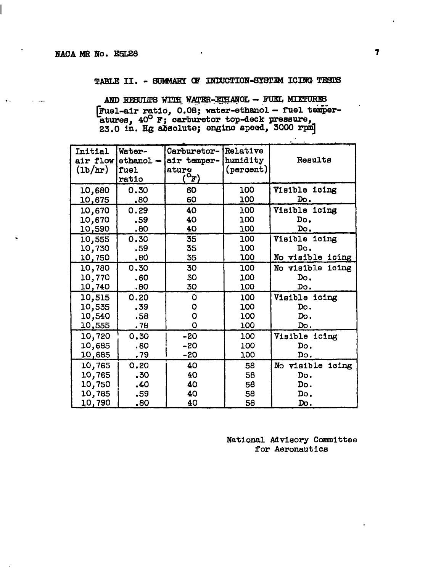TABLE II. - SUMMARY OF INDUCTION-SYSTEM ICING TESTS

AND RESULTS WITH WATER-ETHANOL - FUEL MIXTURES [Fuel-air ratio, 0.08; water-ethanol - fuel temper-<br>atures, 40° F; carburetor top-deck pressure,<br>23.0 in. Hg absolute; engine speed, 5000 rpm]

| <b>Initial</b><br>air flow<br>(1b/hr) | Water-<br>$ethanol -$<br>fuel<br>ratio | Carburetor-<br>air temper-<br>ature<br>$^{\mathsf{o}}$ F) | Relative<br>humidity<br>(percent) | Results                                     |
|---------------------------------------|----------------------------------------|-----------------------------------------------------------|-----------------------------------|---------------------------------------------|
| 10,680                                | 0.30                                   | 60                                                        | 100                               | Visible icing                               |
| <u> 10,675</u>                        | .80                                    | 60                                                        | 100                               | Do.                                         |
| 10,670                                | 0.29                                   | 40                                                        | 100                               | Visible icing                               |
| 10,670                                | .59                                    | 40                                                        | 100                               | Do.                                         |
| 10,590                                | .80                                    | 40                                                        | 100                               | Do.                                         |
| 10,555<br>10,730<br>10,750            | 0.30<br>.59<br>.80                     | 35<br>35<br>35                                            | 100<br>100<br>100                 | Visible icing<br>Do.<br>visible icing<br>No |
| 10,780<br>10,770<br>10,740            | 0.30<br>.60<br>.80                     | 30<br>30<br>30                                            | 100<br>100<br>100                 | No<br>visible icing<br>Do.<br>Do.           |
| 10,515                                | 0.20                                   | O                                                         | 100                               | Visible icing                               |
| 10,535                                | .39                                    | Ο                                                         | 100                               | Do.                                         |
| 10,540                                | .58                                    | O                                                         | 100                               | Do.                                         |
| 10,555                                | . 78                                   | O                                                         | 100                               | Do.                                         |
| 10,720                                | 0.30                                   | -20                                                       | 100                               | Visible icing                               |
| 10,685                                | .60                                    | -20                                                       | 100                               | Do.                                         |
| 10,685                                | .79                                    | -20                                                       | 100                               | Do.                                         |
| 10,765                                | 0.20                                   | 40                                                        | 58                                | No visible icing                            |
| 10,765                                | .30                                    | 40                                                        | 58                                | Do.                                         |
| 10,750                                | .40                                    | 40                                                        | 58                                | Do.                                         |
| 10,785                                | .59                                    | 40                                                        | 58                                | Do.                                         |
| 10,790                                | .80                                    | 40                                                        | 58                                | Do.                                         |

National Advisory Committee for Aeronautics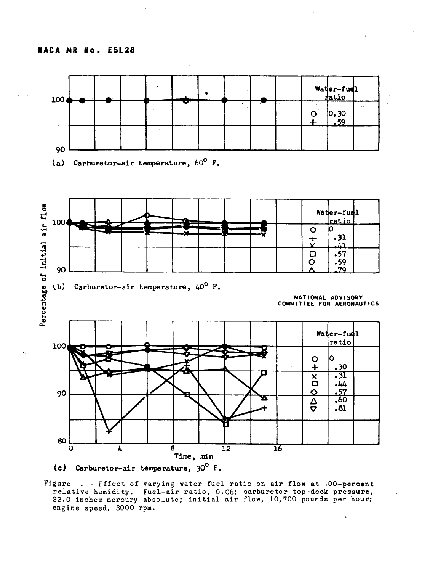J.



(c) Carburetor-air temperature,  $30^{\circ}$  F.

Figure 1. - Effect of varying water-fuel ratio on air flow at 100-percent relative humidity. Fuel-air ratio, 0.08; carburetor top-deck pressure,<br>23.0 inches mercury absolute; initial air flow, 10,700 pounds per hour; engine speed, 3000 rpm.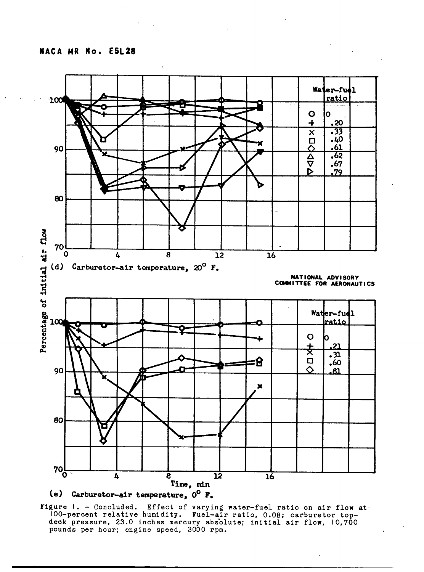



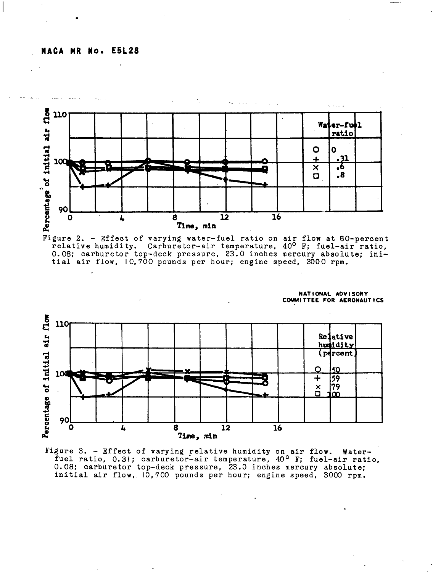

Figure 2. - Effect of varying water-fuel ratio on air flow at 60-percent relative humidity. Carburetor-air temperature,  $40^{\circ}$  F; fuel-air ratio, 0.08; carburetor top-deck pressure, 23.0 inches mercury absolute; initial air flow, 10,700 pounds per hour; engine speed, 3000 rpm.



Figure 3. - Effect of varying relative humidity on air flow. Water-<br>fuel ratio, 0.31; carburetor-air temperature, 40<sup>o</sup> F; fuel-air ratio, 0.08; carburetor top-deck pressure, 23.0 inches mercury absolute; initial air flow, 10,700 pounds per hour; engine speed, 3000 rpm.

NATIONAL ADVISORY COMMITTEE FOR AERONAUTICS